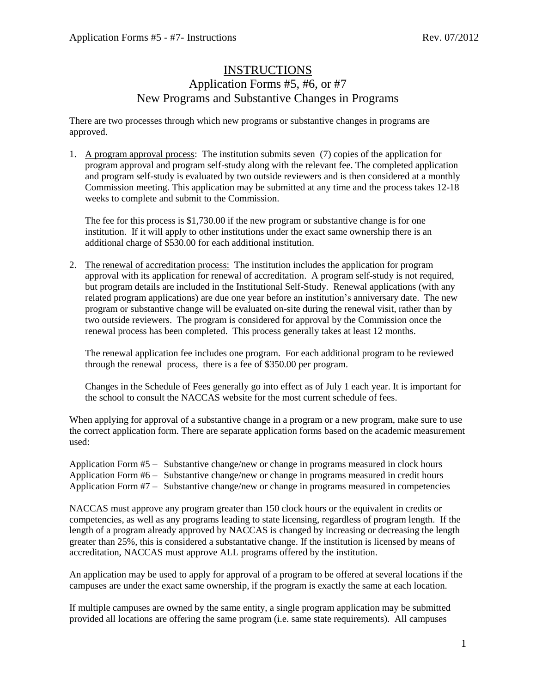## **INSTRUCTIONS** Application Forms  $\overline{45, 46}$ , or  $\overline{47}$ New Programs and Substantive Changes in Programs

There are two processes through which new programs or substantive changes in programs are approved.

1. A program approval process: The institution submits seven (7) copies of the application for program approval and program self-study along with the relevant fee. The completed application and program self-study is evaluated by two outside reviewers and is then considered at a monthly Commission meeting. This application may be submitted at any time and the process takes 12-18 weeks to complete and submit to the Commission.

The fee for this process is \$1,730.00 if the new program or substantive change is for one institution. If it will apply to other institutions under the exact same ownership there is an additional charge of \$530.00 for each additional institution.

2. The renewal of accreditation process: The institution includes the application for program approval with its application for renewal of accreditation. A program self-study is not required, but program details are included in the Institutional Self-Study. Renewal applications (with any related program applications) are due one year before an institution's anniversary date. The new program or substantive change will be evaluated on-site during the renewal visit, rather than by two outside reviewers. The program is considered for approval by the Commission once the renewal process has been completed. This process generally takes at least 12 months.

The renewal application fee includes one program. For each additional program to be reviewed through the renewal process, there is a fee of \$350.00 per program.

Changes in the Schedule of Fees generally go into effect as of July 1 each year. It is important for the school to consult the NACCAS website for the most current schedule of fees.

When applying for approval of a substantive change in a program or a new program, make sure to use the correct application form. There are separate application forms based on the academic measurement used:

Application Form #5 – Substantive change/new or change in programs measured in clock hours Application Form #6 – Substantive change/new or change in programs measured in credit hours Application Form #7 – Substantive change/new or change in programs measured in competencies

NACCAS must approve any program greater than 150 clock hours or the equivalent in credits or competencies, as well as any programs leading to state licensing, regardless of program length. If the length of a program already approved by NACCAS is changed by increasing or decreasing the length greater than 25%, this is considered a substantative change. If the institution is licensed by means of accreditation, NACCAS must approve ALL programs offered by the institution.

An application may be used to apply for approval of a program to be offered at several locations if the campuses are under the exact same ownership, if the program is exactly the same at each location.

If multiple campuses are owned by the same entity, a single program application may be submitted provided all locations are offering the same program (i.e. same state requirements). All campuses